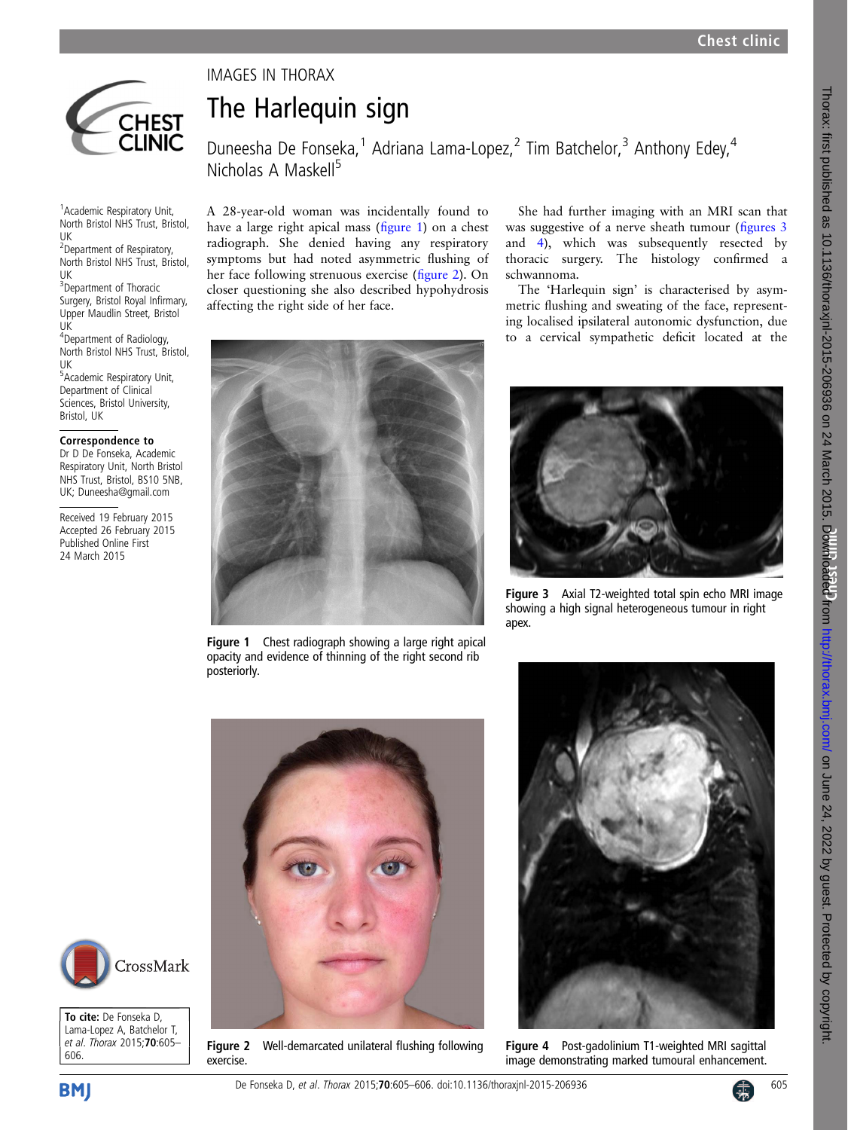

## The Harlequin sign

IMAGES IN THORAX

Duneesha De Fonseka,<sup>1</sup> Adriana Lama-Lopez,<sup>2</sup> Tim Batchelor,<sup>3</sup> Anthony Edey,<sup>4</sup> Nicholas A Maskell<sup>5</sup>

1 Academic Respiratory Unit, North Bristol NHS Trust, Bristol, UK

2 Department of Respiratory, North Bristol NHS Trust, Bristol, UK

<sup>3</sup>Department of Thoracic Surgery, Bristol Royal Infirmary, Upper Maudlin Street, Bristol UK

4 Department of Radiology, North Bristol NHS Trust, Bristol, UK

5 Academic Respiratory Unit, Department of Clinical Sciences, Bristol University, Bristol, UK

## Correspondence to

Dr D De Fonseka, Academic Respiratory Unit, North Bristol NHS Trust, Bristol, BS10 5NB, UK; Duneesha@gmail.com

Received 19 February 2015 Accepted 26 February 2015 Published Online First 24 March 2015

A 28-year-old woman was incidentally found to have a large right apical mass (figure 1) on a chest radiograph. She denied having any respiratory symptoms but had noted asymmetric flushing of her face following strenuous exercise (figure 2). On closer questioning she also described hypohydrosis affecting the right side of her face.

She had further imaging with an MRI scan that was suggestive of a nerve sheath tumour (figures 3 and 4), which was subsequently resected by thoracic surgery. The histology confirmed a schwannoma.

The 'Harlequin sign' is characterised by asymmetric flushing and sweating of the face, representing localised ipsilateral autonomic dysfunction, due to a cervical sympathetic deficit located at the



Figure 1 Chest radiograph showing a large right apical opacity and evidence of thinning of the right second rib posteriorly.



Figure 3 Axial T2-weighted total spin echo MRI image showing a high signal heterogeneous tumour in right apex.



Figure 2 Well-demarcated unilateral flushing following exercise.



Figure 4 Post-gadolinium T1-weighted MRI sagittal image demonstrating marked tumoural enhancement.



606.

To cite: De Fonseka D, Lama-Lopez A, Batchelor T, et al. Thorax 2015;70:605–

CrossMark